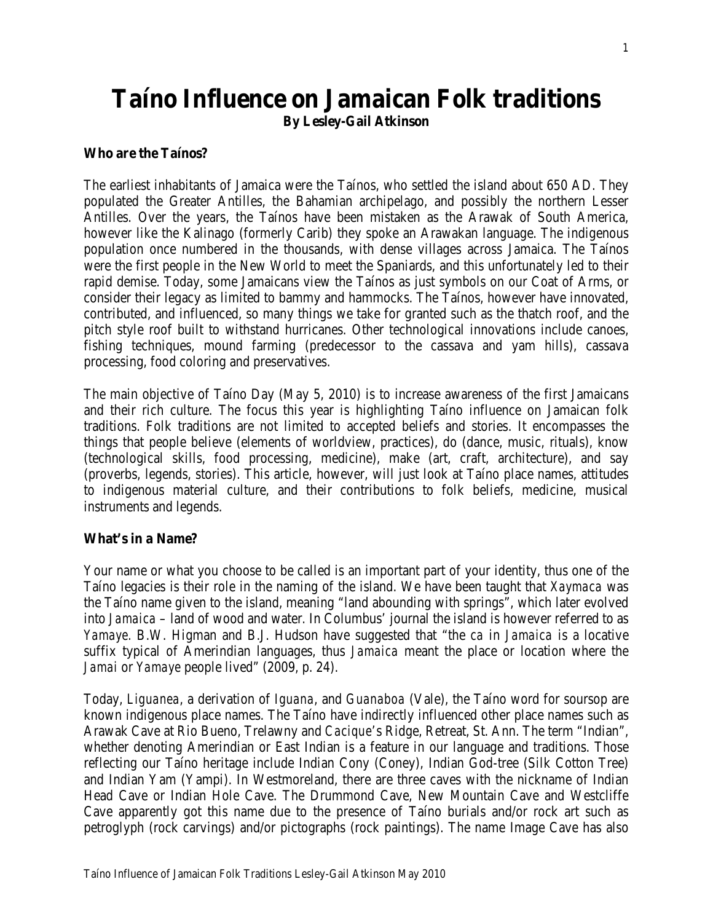# **Taíno Influence on Jamaican Folk traditions By Lesley-Gail Atkinson**

#### **Who are the Taínos?**

The earliest inhabitants of Jamaica were the Taínos, who settled the island about 650 AD. They populated the Greater Antilles, the Bahamian archipelago, and possibly the northern Lesser Antilles. Over the years, the Taínos have been mistaken as the Arawak of South America, however like the Kalinago (formerly Carib) they spoke an Arawakan language. The indigenous population once numbered in the thousands, with dense villages across Jamaica. The Taínos were the first people in the New World to meet the Spaniards, and this unfortunately led to their rapid demise. Today, some Jamaicans view the Taínos as just symbols on our Coat of Arms, or consider their legacy as limited to bammy and hammocks. The Taínos, however have innovated, contributed, and influenced, so many things we take for granted such as the thatch roof, and the pitch style roof built to withstand hurricanes. Other technological innovations include canoes, fishing techniques, mound farming (predecessor to the cassava and yam hills), cassava processing, food coloring and preservatives.

The main objective of Taíno Day (May 5, 2010) is to increase awareness of the first Jamaicans and their rich culture. The focus this year is highlighting Taíno influence on Jamaican folk traditions. Folk traditions are not limited to accepted beliefs and stories. It encompasses the things that people believe (elements of worldview, practices), do (dance, music, rituals), know (technological skills, food processing, medicine), make (art, craft, architecture), and say (proverbs, legends, stories). This article, however, will just look at Taíno place names, attitudes to indigenous material culture, and their contributions to folk beliefs, medicine, musical instruments and legends.

#### **What's in a Name?**

Your name or what you choose to be called is an important part of your identity, thus one of the Taíno legacies is their role in the naming of the island. We have been taught that *Xaymaca* was the Taíno name given to the island, meaning "land abounding with springs", which later evolved into *Jamaica* – land of wood and water*.* In Columbus' journal the island is however referred to as *Yamaye.* B.W. Higman and B.J. Hudson have suggested that "the *ca* in *Jamaica* is a locative suffix typical of Amerindian languages, thus *Jamaica* meant the place or location where the *Jamai* or *Yamaye* people lived" (2009, p. 24).

Today, *Liguanea*, a derivation of *Iguana*, and *Guanaboa* (Vale), the Taíno word for soursop are known indigenous place names. The Taíno have indirectly influenced other place names such as Arawak Cave at Rio Bueno, Trelawny and *Cacique*'s Ridge, Retreat, St. Ann. The term "Indian", whether denoting Amerindian or East Indian is a feature in our language and traditions. Those reflecting our Taíno heritage include Indian Cony (Coney), Indian God-tree (Silk Cotton Tree) and Indian Yam (Yampi). In Westmoreland, there are three caves with the nickname of Indian Head Cave or Indian Hole Cave. The Drummond Cave, New Mountain Cave and Westcliffe Cave apparently got this name due to the presence of Taíno burials and/or rock art such as petroglyph (rock carvings) and/or pictographs (rock paintings). The name Image Cave has also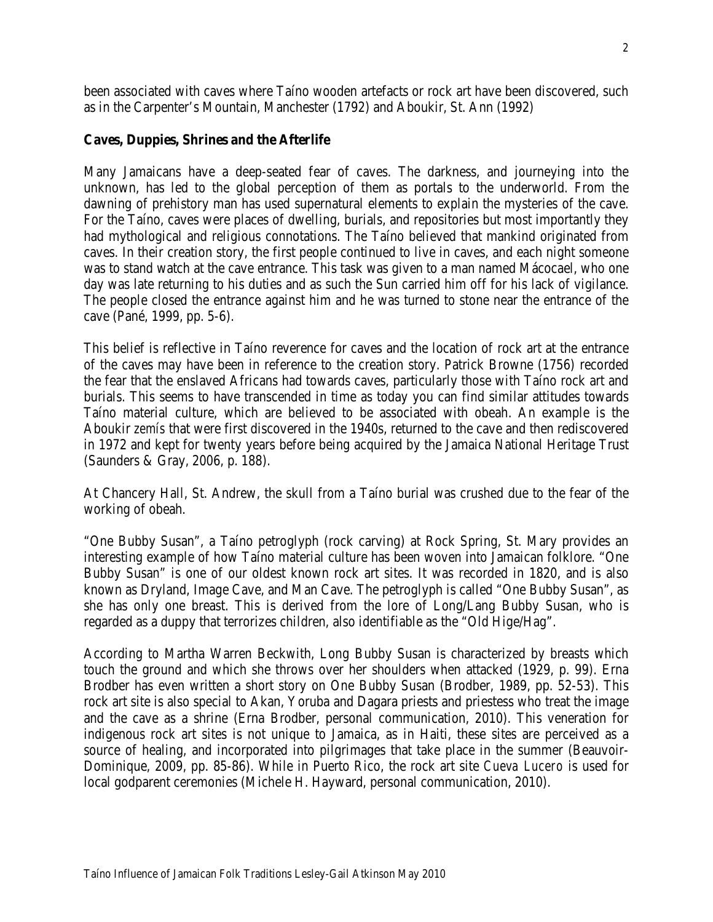been associated with caves where Taíno wooden artefacts or rock art have been discovered, such as in the Carpenter's Mountain, Manchester (1792) and Aboukir, St. Ann (1992)

#### **Caves, Duppies, Shrines and the Afterlife**

Many Jamaicans have a deep-seated fear of caves. The darkness, and journeying into the unknown, has led to the global perception of them as portals to the underworld. From the dawning of prehistory man has used supernatural elements to explain the mysteries of the cave. For the Taíno, caves were places of dwelling, burials, and repositories but most importantly they had mythological and religious connotations. The Taíno believed that mankind originated from caves. In their creation story, the first people continued to live in caves, and each night someone was to stand watch at the cave entrance. This task was given to a man named Mácocael, who one day was late returning to his duties and as such the Sun carried him off for his lack of vigilance. The people closed the entrance against him and he was turned to stone near the entrance of the cave (Pané, 1999, pp. 5-6).

This belief is reflective in Taíno reverence for caves and the location of rock art at the entrance of the caves may have been in reference to the creation story. Patrick Browne (1756) recorded the fear that the enslaved Africans had towards caves, particularly those with Taíno rock art and burials. This seems to have transcended in time as today you can find similar attitudes towards Taíno material culture, which are believed to be associated with obeah. An example is the Aboukir *zemís* that were first discovered in the 1940s, returned to the cave and then rediscovered in 1972 and kept for twenty years before being acquired by the Jamaica National Heritage Trust (Saunders & Gray, 2006, p. 188).

At Chancery Hall, St. Andrew, the skull from a Taíno burial was crushed due to the fear of the working of obeah.

"One Bubby Susan", a Taíno petroglyph (rock carving) at Rock Spring, St. Mary provides an interesting example of how Taíno material culture has been woven into Jamaican folklore. "One Bubby Susan" is one of our oldest known rock art sites. It was recorded in 1820, and is also known as Dryland, Image Cave, and Man Cave. The petroglyph is called "One Bubby Susan", as she has only one breast. This is derived from the lore of Long/Lang Bubby Susan, who is regarded as a duppy that terrorizes children, also identifiable as the "Old Hige/Hag".

According to Martha Warren Beckwith, Long Bubby Susan is characterized by breasts which touch the ground and which she throws over her shoulders when attacked (1929, p. 99). Erna Brodber has even written a short story on One Bubby Susan (Brodber, 1989, pp. 52-53). This rock art site is also special to Akan, Yoruba and Dagara priests and priestess who treat the image and the cave as a shrine (Erna Brodber, personal communication, 2010). This veneration for indigenous rock art sites is not unique to Jamaica, as in Haiti, these sites are perceived as a source of healing, and incorporated into pilgrimages that take place in the summer (Beauvoir-Dominique, 2009, pp. 85-86). While in Puerto Rico, the rock art site *Cueva Lucero* is used for local godparent ceremonies (Michele H. Hayward, personal communication, 2010).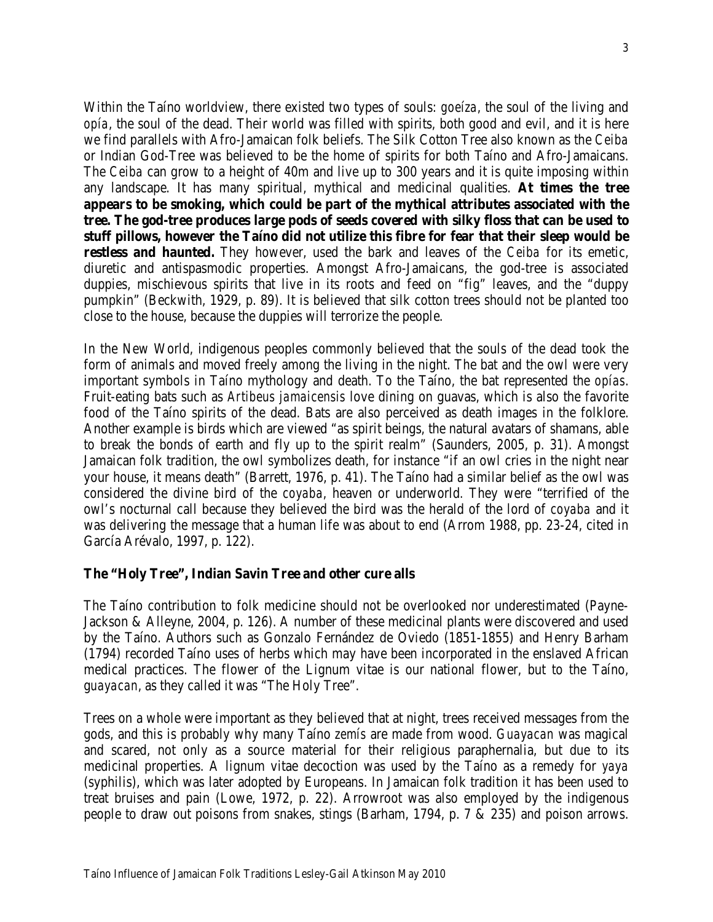Within the Taíno worldview, there existed two types of souls: *goeíza*, the soul of the living and *opía*, the soul of the dead. Their world was filled with spirits, both good and evil, and it is here we find parallels with Afro-Jamaican folk beliefs. The Silk Cotton Tree also known as the *Ceiba* or Indian God-Tree was believed to be the home of spirits for both Taíno and Afro-Jamaicans. The *Ceiba* can grow to a height of 40m and live up to 300 years and it is quite imposing within any landscape. It has many spiritual, mythical and medicinal qualities. **At times the tree appears to be smoking, which could be part of the mythical attributes associated with the tree. The god-tree produces large pods of seeds covered with silky floss that can be used to stuff pillows, however the Taíno did not utilize this fibre for fear that their sleep would be restless and haunted.** They however, used the bark and leaves of the *Ceiba* for its emetic, diuretic and antispasmodic properties. Amongst Afro-Jamaicans, the god-tree is associated duppies, mischievous spirits that live in its roots and feed on "fig" leaves, and the "duppy pumpkin" (Beckwith, 1929, p. 89). It is believed that silk cotton trees should not be planted too close to the house, because the duppies will terrorize the people.

In the New World, indigenous peoples commonly believed that the souls of the dead took the form of animals and moved freely among the living in the night. The bat and the owl were very important symbols in Taíno mythology and death. To the Taíno, the bat represented the *opías*. Fruit-eating bats such as *Artibeus jamaicensis* love dining on guavas, which is also the favorite food of the Taíno spirits of the dead. Bats are also perceived as death images in the folklore. Another example is birds which are viewed "as spirit beings, the natural avatars of shamans, able to break the bonds of earth and fly up to the spirit realm" (Saunders, 2005, p. 31). Amongst Jamaican folk tradition, the owl symbolizes death, for instance "if an owl cries in the night near your house, it means death" (Barrett, 1976, p. 41). The Taíno had a similar belief as the owl was considered the divine bird of the *coyaba*, heaven or underworld*.* They were "terrified of the owl's nocturnal call because they believed the bird was the herald of the lord of *coyaba* and it was delivering the message that a human life was about to end (Arrom 1988, pp. 23-24, cited in García Arévalo, 1997, p. 122).

#### **The "Holy Tree", Indian Savin Tree and other cure alls**

The Taíno contribution to folk medicine should not be overlooked nor underestimated (Payne-Jackson & Alleyne, 2004, p. 126). A number of these medicinal plants were discovered and used by the Taíno. Authors such as Gonzalo Fernández de Oviedo (1851-1855) and Henry Barham (1794) recorded Taíno uses of herbs which may have been incorporated in the enslaved African medical practices. The flower of the Lignum vitae is our national flower, but to the Taíno, g*uayacan*, as they called it was "The Holy Tree".

Trees on a whole were important as they believed that at night, trees received messages from the gods, and this is probably why many Taíno *zemís* are made from wood. *Guayacan* was magical and scared, not only as a source material for their religious paraphernalia, but due to its medicinal properties. A lignum vitae decoction was used by the Taíno as a remedy for *yaya* (syphilis), which was later adopted by Europeans. In Jamaican folk tradition it has been used to treat bruises and pain (Lowe, 1972, p. 22). Arrowroot was also employed by the indigenous people to draw out poisons from snakes, stings (Barham, 1794, p. 7 & 235) and poison arrows.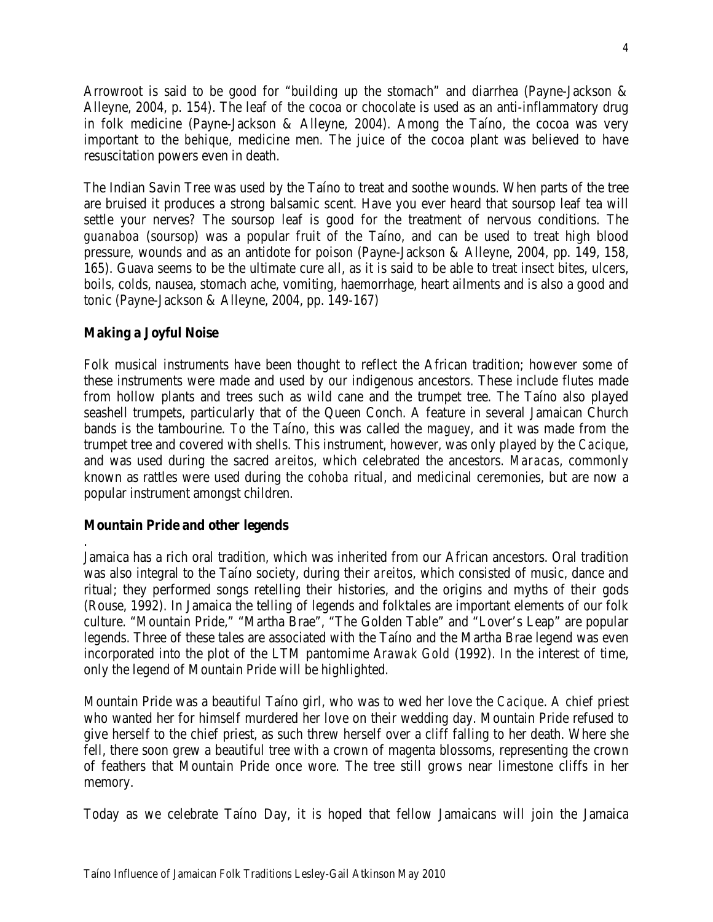Arrowroot is said to be good for "building up the stomach" and diarrhea (Payne-Jackson & Alleyne, 2004, p. 154). The leaf of the cocoa or chocolate is used as an anti-inflammatory drug in folk medicine (Payne-Jackson & Alleyne, 2004). Among the Taíno, the cocoa was very important to the *behique*, medicine men. The juice of the cocoa plant was believed to have resuscitation powers even in death.

The Indian Savin Tree was used by the Taíno to treat and soothe wounds. When parts of the tree are bruised it produces a strong balsamic scent. Have you ever heard that soursop leaf tea will settle your nerves? The soursop leaf is good for the treatment of nervous conditions. The *guanaboa* (soursop) was a popular fruit of the Taíno, and can be used to treat high blood pressure, wounds and as an antidote for poison (Payne-Jackson & Alleyne, 2004, pp. 149, 158, 165). Guava seems to be the ultimate cure all, as it is said to be able to treat insect bites, ulcers, boils, colds, nausea, stomach ache, vomiting, haemorrhage, heart ailments and is also a good and tonic (Payne-Jackson & Alleyne, 2004, pp. 149-167)

### **Making a Joyful Noise**

Folk musical instruments have been thought to reflect the African tradition; however some of these instruments were made and used by our indigenous ancestors. These include flutes made from hollow plants and trees such as wild cane and the trumpet tree. The Taíno also played seashell trumpets, particularly that of the Queen Conch. A feature in several Jamaican Church bands is the tambourine. To the Taíno, this was called the *maguey*, and it was made from the trumpet tree and covered with shells. This instrument, however, was only played by the *Cacique*, and was used during the sacred *areitos*, which celebrated the ancestors. *Maracas*, commonly known as rattles were used during the *cohoba* ritual, and medicinal ceremonies, but are now a popular instrument amongst children.

#### **Mountain Pride and other legends**

. Jamaica has a rich oral tradition, which was inherited from our African ancestors. Oral tradition was also integral to the Taíno society, during their *areitos*, which consisted of music, dance and ritual; they performed songs retelling their histories, and the origins and myths of their gods (Rouse, 1992). In Jamaica the telling of legends and folktales are important elements of our folk culture. "Mountain Pride," "Martha Brae", "The Golden Table" and "Lover's Leap" are popular legends. Three of these tales are associated with the Taíno and the Martha Brae legend was even incorporated into the plot of the LTM pantomime *Arawak Gold* (1992). In the interest of time, only the legend of Mountain Pride will be highlighted.

Mountain Pride was a beautiful Taíno girl, who was to wed her love the *Cacique*. A chief priest who wanted her for himself murdered her love on their wedding day. Mountain Pride refused to give herself to the chief priest, as such threw herself over a cliff falling to her death. Where she fell, there soon grew a beautiful tree with a crown of magenta blossoms, representing the crown of feathers that Mountain Pride once wore. The tree still grows near limestone cliffs in her memory.

Today as we celebrate Taíno Day, it is hoped that fellow Jamaicans will join the Jamaica